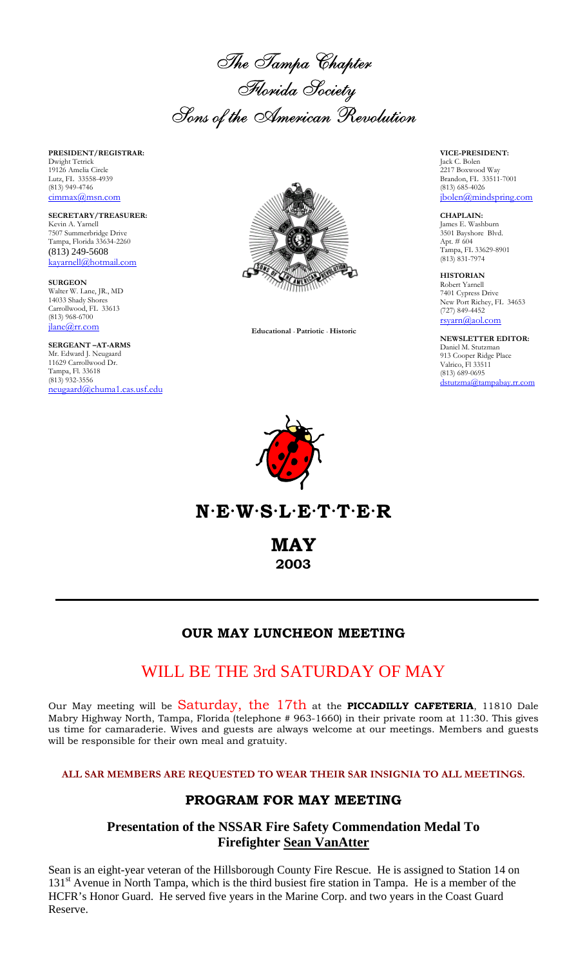The Tampa Chapter<br>Florida Society Florida Society Sons of the American Revolution

**PRESIDENT/REGISTRAR:** Dwight Tetrick 19126 Amelia Circle Lutz, FL 33558-4939 (813) 949-4746 cimmax@msn.com

**SECRETARY/TREASURER:** Kevin A. Yarnell 7507 Summerbridge Drive Tampa, Florida 33634-2260 (813) 249-5608 kayarnell@hotmail.com

**SURGEON** Walter W. Lane, JR., MD 14033 Shady Shores Carrollwood, FL 33613 (813) 968-6700 jlane@rr.com

**SERGEANT –AT-ARMS** Mr. Edward J. Neugaard 11629 Carrollwood Dr. Tampa, Fl. 33618  $(813)$  932-3556 neugaard@chuma1.cas.usf.edu



 **Educational** · **Patriotic** · **Historic**

**VICE-PRESIDENT:** Jack C. Bolen 2217 Boxwood Way Brandon, FL 33511-7001 (813) 685-4026 jbolen@mindspring.com

**CHAPLAIN:** James E. Washburn 3501 Bayshore Blvd. Apt. # 604 Tampa, FL 33629-8901 (813) 831-7974

**HISTORIAN** Robert Yarnell 7401 Cypress Drive New Port Richey, FL 34653 (727) 849-4452 rsyarn@aol.com

**NEWSLETTER EDITOR:** Daniel M. Stutzman 913 Cooper Ridge Place Valrico, Fl 33511 (813) 689-0695 dstutzma@tampabay.rr.com



**N·E·W·S·L·E·T·T·E·R**

**MAY 2003**

### **OUR MAY LUNCHEON MEETING**

# WILL BE THE 3rd SATURDAY OF MAY

Our May meeting will be Saturday, the 17th at the **PICCADILLY CAFETERIA**, 11810 Dale Mabry Highway North, Tampa, Florida (telephone # 963-1660) in their private room at 11:30. This gives us time for camaraderie. Wives and guests are always welcome at our meetings. Members and guests will be responsible for their own meal and gratuity.

**ALL SAR MEMBERS ARE REQUESTED TO WEAR THEIR SAR INSIGNIA TO ALL MEETINGS.**

### **PROGRAM FOR MAY MEETING**

## **Presentation of the NSSAR Fire Safety Commendation Medal To Firefighter Sean VanAtter**

Sean is an eight-year veteran of the Hillsborough County Fire Rescue. He is assigned to Station 14 on 131<sup>st</sup> Avenue in North Tampa, which is the third busiest fire station in Tampa. He is a member of the HCFR's Honor Guard. He served five years in the Marine Corp. and two years in the Coast Guard Reserve.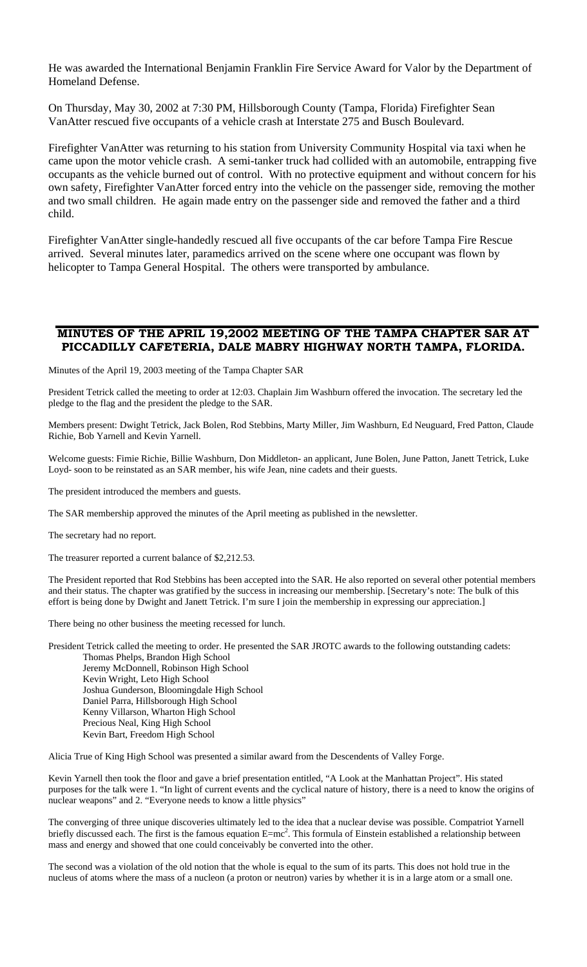He was awarded the International Benjamin Franklin Fire Service Award for Valor by the Department of Homeland Defense.

On Thursday, May 30, 2002 at 7:30 PM, Hillsborough County (Tampa, Florida) Firefighter Sean VanAtter rescued five occupants of a vehicle crash at Interstate 275 and Busch Boulevard.

Firefighter VanAtter was returning to his station from University Community Hospital via taxi when he came upon the motor vehicle crash. A semi-tanker truck had collided with an automobile, entrapping five occupants as the vehicle burned out of control. With no protective equipment and without concern for his own safety, Firefighter VanAtter forced entry into the vehicle on the passenger side, removing the mother and two small children. He again made entry on the passenger side and removed the father and a third child.

Firefighter VanAtter single-handedly rescued all five occupants of the car before Tampa Fire Rescue arrived. Several minutes later, paramedics arrived on the scene where one occupant was flown by helicopter to Tampa General Hospital. The others were transported by ambulance.

#### **MINUTES OF THE APRIL 19,2002 MEETING OF THE TAMPA CHAPTER SAR AT PICCADILLY CAFETERIA, DALE MABRY HIGHWAY NORTH TAMPA, FLORIDA.**

Minutes of the April 19, 2003 meeting of the Tampa Chapter SAR

President Tetrick called the meeting to order at 12:03. Chaplain Jim Washburn offered the invocation. The secretary led the pledge to the flag and the president the pledge to the SAR.

Members present: Dwight Tetrick, Jack Bolen, Rod Stebbins, Marty Miller, Jim Washburn, Ed Neuguard, Fred Patton, Claude Richie, Bob Yarnell and Kevin Yarnell.

Welcome guests: Fimie Richie, Billie Washburn, Don Middleton- an applicant, June Bolen, June Patton, Janett Tetrick, Luke Loyd- soon to be reinstated as an SAR member, his wife Jean, nine cadets and their guests.

The president introduced the members and guests.

The SAR membership approved the minutes of the April meeting as published in the newsletter.

The secretary had no report.

The treasurer reported a current balance of \$2,212.53.

The President reported that Rod Stebbins has been accepted into the SAR. He also reported on several other potential members and their status. The chapter was gratified by the success in increasing our membership. [Secretary's note: The bulk of this effort is being done by Dwight and Janett Tetrick. I'm sure I join the membership in expressing our appreciation.]

There being no other business the meeting recessed for lunch.

President Tetrick called the meeting to order. He presented the SAR JROTC awards to the following outstanding cadets:

Thomas Phelps, Brandon High School Jeremy McDonnell, Robinson High School Kevin Wright, Leto High School Joshua Gunderson, Bloomingdale High School Daniel Parra, Hillsborough High School Kenny Villarson, Wharton High School Precious Neal, King High School Kevin Bart, Freedom High School

Alicia True of King High School was presented a similar award from the Descendents of Valley Forge.

Kevin Yarnell then took the floor and gave a brief presentation entitled, "A Look at the Manhattan Project". His stated purposes for the talk were 1. "In light of current events and the cyclical nature of history, there is a need to know the origins of nuclear weapons" and 2. "Everyone needs to know a little physics"

The converging of three unique discoveries ultimately led to the idea that a nuclear devise was possible. Compatriot Yarnell briefly discussed each. The first is the famous equation  $E=mc^2$ . This formula of Einstein established a relationship between mass and energy and showed that one could conceivably be converted into the other.

The second was a violation of the old notion that the whole is equal to the sum of its parts. This does not hold true in the nucleus of atoms where the mass of a nucleon (a proton or neutron) varies by whether it is in a large atom or a small one.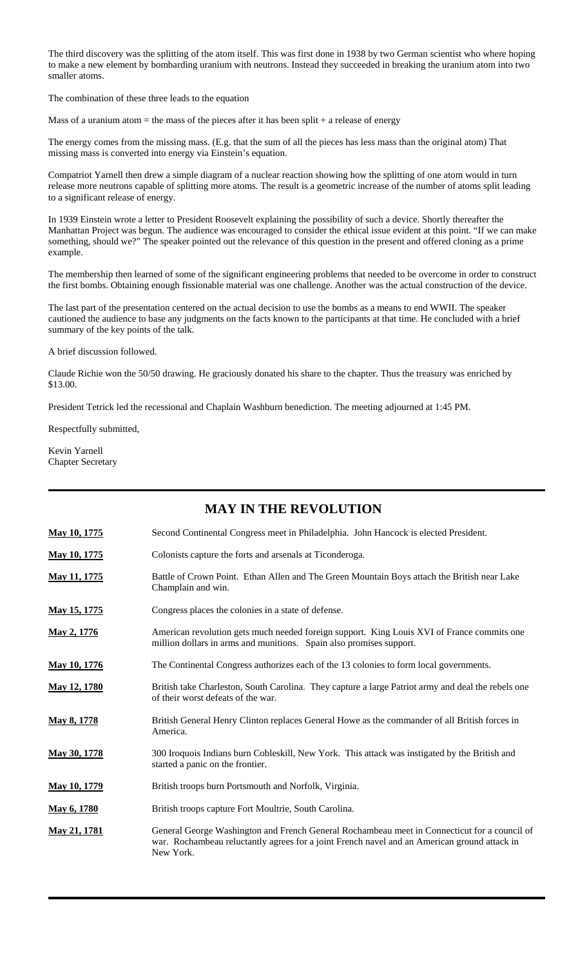The third discovery was the splitting of the atom itself. This was first done in 1938 by two German scientist who where hoping to make a new element by bombarding uranium with neutrons. Instead they succeeded in breaking the uranium atom into two smaller atoms.

The combination of these three leads to the equation

Mass of a uranium atom  $=$  the mass of the pieces after it has been split  $+$  a release of energy

The energy comes from the missing mass. (E.g. that the sum of all the pieces has less mass than the original atom) That missing mass is converted into energy via Einstein's equation.

Compatriot Yarnell then drew a simple diagram of a nuclear reaction showing how the splitting of one atom would in turn release more neutrons capable of splitting more atoms. The result is a geometric increase of the number of atoms split leading to a significant release of energy.

In 1939 Einstein wrote a letter to President Roosevelt explaining the possibility of such a device. Shortly thereafter the Manhattan Project was begun. The audience was encouraged to consider the ethical issue evident at this point. "If we can make something, should we?" The speaker pointed out the relevance of this question in the present and offered cloning as a prime example.

The membership then learned of some of the significant engineering problems that needed to be overcome in order to construct the first bombs. Obtaining enough fissionable material was one challenge. Another was the actual construction of the device.

The last part of the presentation centered on the actual decision to use the bombs as a means to end WWII. The speaker cautioned the audience to base any judgments on the facts known to the participants at that time. He concluded with a brief summary of the key points of the talk.

A brief discussion followed.

Claude Richie won the 50/50 drawing. He graciously donated his share to the chapter. Thus the treasury was enriched by \$13.00.

President Tetrick led the recessional and Chaplain Washburn benediction. The meeting adjourned at 1:45 PM.

Respectfully submitted,

Kevin Yarnell Chapter Secretary

## **MAY IN THE REVOLUTION May 10, 1775** Second Continental Congress meet in Philadelphia. John Hancock is elected President. **May 10, 1775** Colonists capture the forts and arsenals at Ticonderoga. **May 11, 1775** Battle of Crown Point. Ethan Allen and The Green Mountain Boys attach the British near Lake Champlain and win. **May 15, 1775** Congress places the colonies in a state of defense. **May 2, 1776** American revolution gets much needed foreign support. King Louis XVI of France commits one million dollars in arms and munitions. Spain also promises support. **May 10, 1776** The Continental Congress authorizes each of the 13 colonies to form local governments. **May 12, 1780** British take Charleston, South Carolina. They capture a large Patriot army and deal the rebels one of their worst defeats of the war. May 8, 1778 British General Henry Clinton replaces General Howe as the commander of all British forces in America. **May 30, 1778** 300 Iroquois Indians burn Cobleskill, New York. This attack was instigated by the British and started a panic on the frontier. **May 10, 1779** British troops burn Portsmouth and Norfolk, Virginia. May 6, 1780 British troops capture Fort Moultrie, South Carolina. **May 21, 1781** General George Washington and French General Rochambeau meet in Connecticut for a council of war. Rochambeau reluctantly agrees for a joint French navel and an American ground attack in New York.